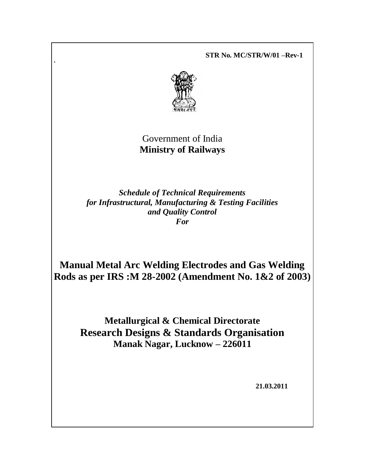**STR No. MC/STR/W/01 –Rev-1**



 $\zeta$ 

# Government of India **Ministry of Railways**

*Schedule of Technical Requirements for Infrastructural, Manufacturing & Testing Facilities and Quality Control For*

**Manual Metal Arc Welding Electrodes and Gas Welding Rods as per IRS :M 28-2002 (Amendment No. 1&2 of 2003)** 

**Metallurgical & Chemical Directorate Research Designs & Standards Organisation Manak Nagar, Lucknow – 226011**

 **21.03.2011**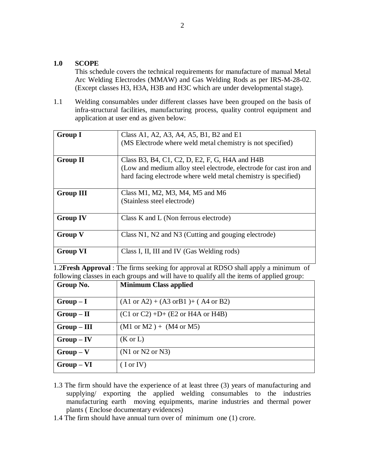#### **1.0 SCOPE**

This schedule covers the technical requirements for manufacture of manual Metal Arc Welding Electrodes (MMAW) and Gas Welding Rods as per IRS-M-28-02. (Except classes H3, H3A, H3B and H3C which are under developmental stage).

1.1 Welding consumables under different classes have been grouped on the basis of infra-structural facilities, manufacturing process, quality control equipment and application at user end as given below:

| <b>Group I</b>   | Class A1, A2, A3, A4, A5, B1, B2 and E1                            |
|------------------|--------------------------------------------------------------------|
|                  | (MS Electrode where weld metal chemistry is not specified)         |
|                  |                                                                    |
| <b>Group II</b>  | Class B3, B4, C1, C2, D, E2, F, G, H4A and H4B                     |
|                  | (Low and medium alloy steel electrode, electrode for cast iron and |
|                  | hard facing electrode where weld metal chemistry is specified)     |
| <b>Group III</b> | Class M1, M2, M3, M4, M5 and M6                                    |
|                  |                                                                    |
|                  | (Stainless steel electrode)                                        |
|                  |                                                                    |
| <b>Group IV</b>  | Class K and L (Non ferrous electrode)                              |
|                  |                                                                    |
| <b>Group V</b>   | Class N1, N2 and N3 (Cutting and gouging electrode)                |
|                  |                                                                    |
| <b>Group VI</b>  | Class I, II, III and IV (Gas Welding rods)                         |
|                  |                                                                    |

1.2**Fresh Approval** : The firms seeking for approval at RDSO shall apply a minimum of following classes in each groups and will have to qualify all the items of applied group:

| Group No.     | <b>Minimum Class applied</b>                                      |
|---------------|-------------------------------------------------------------------|
| $Group-I$     | $(A1 \text{ or } A2) + (A3 \text{ or } B1) + (A4 \text{ or } B2)$ |
| $Group-II$    | $(C1 \text{ or } C2) + D+ (E2 \text{ or } H4A \text{ or } H4B)$   |
| $Group - III$ | $(M1 \text{ or } M2) + (M4 \text{ or } M5)$                       |
| $Group - IV$  | $(K \text{ or } L)$                                               |
| $Group-V$     | (N1 or N2 or N3)                                                  |
| $Group - VI$  | $($ I or IV $)$                                                   |

- 1.3 The firm should have the experience of at least three (3) years of manufacturing and supplying/ exporting the applied welding consumables to the industries manufacturing earth moving equipments, marine industries and thermal power plants ( Enclose documentary evidences)
- 1.4 The firm should have annual turn over of minimum one (1) crore.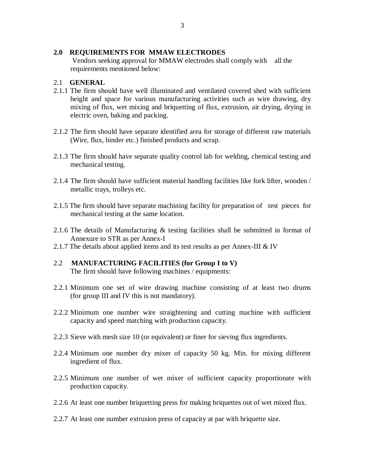#### **2.0 REQUIREMENTS FOR MMAW ELECTRODES**

Vendors seeking approval for MMAW electrodes shall comply with all the requirements mentioned below:

#### 2.1 **GENERAL**

- 2.1.1 The firm should have well illuminated and ventilated covered shed with sufficient height and space for various manufacturing activities such as wire drawing, dry mixing of flux, wet mixing and briquetting of flux, extrusion, air drying, drying in electric oven, baking and packing.
- 2.1.2 The firm should have separate identified area for storage of different raw materials (Wire, flux, binder etc.) finished products and scrap.
- 2.1.3 The firm should have separate quality control lab for welding, chemical testing and mechanical testing.
- 2.1.4 The firm should have sufficient material handling facilities like fork lifter, wooden / metallic trays, trolleys etc.
- 2.1.5 The firm should have separate machining facility for preparation of test pieces for mechanical testing at the same location.
- 2.1.6 The details of Manufacturing & testing facilities shall be submitted in format of Annexure to STR as per Annex-I
- 2.1.7 The details about applied items and its test results as per Annex-III & IV

# 2.2 **MANUFACTURING FACILITIES (for Group I to V)**

The firm should have following machines / equipments:

- 2.2.1 Minimum one set of wire drawing machine consisting of at least two drums (for group III and IV this is not mandatory).
- 2.2.2 Minimum one number wire straightening and cutting machine with sufficient capacity and speed matching with production capacity.
- 2.2.3 Sieve with mesh size 10 (or equivalent) or finer for sieving flux ingredients.
- 2.2.4 Minimum one number dry mixer of capacity 50 kg. Min. for mixing different ingredient of flux.
- 2.2.5 Minimum one number of wet mixer of sufficient capacity proportionate with production capacity.
- 2.2.6 At least one number briquetting press for making briquettes out of wet mixed flux.
- 2.2.7 At least one number extrusion press of capacity at par with briquette size.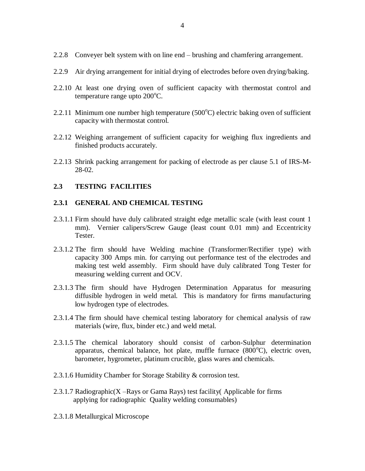- 2.2.8 Conveyer belt system with on line end brushing and chamfering arrangement.
- 2.2.9 Air drying arrangement for initial drying of electrodes before oven drying/baking.
- 2.2.10 At least one drying oven of sufficient capacity with thermostat control and temperature range upto  $200^{\circ}$ C.
- 2.2.11 Minimum one number high temperature  $(500^{\circ}C)$  electric baking oven of sufficient capacity with thermostat control.
- 2.2.12 Weighing arrangement of sufficient capacity for weighing flux ingredients and finished products accurately.
- 2.2.13 Shrink packing arrangement for packing of electrode as per clause 5.1 of IRS-M-28-02.

#### **2.3 TESTING FACILITIES**

#### **2.3.1 GENERAL AND CHEMICAL TESTING**

- 2.3.1.1 Firm should have duly calibrated straight edge metallic scale (with least count 1 mm). Vernier calipers/Screw Gauge (least count 0.01 mm) and Eccentricity Tester.
- 2.3.1.2 The firm should have Welding machine (Transformer/Rectifier type) with capacity 300 Amps min. for carrying out performance test of the electrodes and making test weld assembly. Firm should have duly calibrated Tong Tester for measuring welding current and OCV.
- 2.3.1.3 The firm should have Hydrogen Determination Apparatus for measuring diffusible hydrogen in weld metal. This is mandatory for firms manufacturing low hydrogen type of electrodes.
- 2.3.1.4 The firm should have chemical testing laboratory for chemical analysis of raw materials (wire, flux, binder etc.) and weld metal.
- 2.3.1.5 The chemical laboratory should consist of carbon-Sulphur determination apparatus, chemical balance, hot plate, muffle furnace  $(800^{\circ}C)$ , electric oven, barometer, hygrometer, platinum crucible, glass wares and chemicals.
- 2.3.1.6 Humidity Chamber for Storage Stability & corrosion test.
- 2.3.1.7 Radiographic( $X$  –Rays or Gama Rays) test facility (Applicable for firms applying for radiographic Quality welding consumables)
- 2.3.1.8 Metallurgical Microscope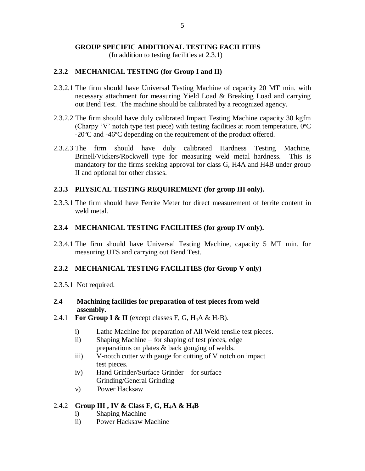# **GROUP SPECIFIC ADDITIONAL TESTING FACILITIES**

(In addition to testing facilities at 2.3.1)

#### **2.3.2 MECHANICAL TESTING (for Group I and II)**

- 2.3.2.1 The firm should have Universal Testing Machine of capacity 20 MT min. with necessary attachment for measuring Yield Load & Breaking Load and carrying out Bend Test. The machine should be calibrated by a recognized agency.
- 2.3.2.2 The firm should have duly calibrated Impact Testing Machine capacity 30 kgfm (Charpy 'V' notch type test piece) with testing facilities at room temperature,  $0^{\circ}$ C -20ºC and -46ºC depending on the requirement of the product offered.
- 2.3.2.3 The firm should have duly calibrated Hardness Testing Machine, Brinell/Vickers/Rockwell type for measuring weld metal hardness. This is mandatory for the firms seeking approval for class G, H4A and H4B under group II and optional for other classes.

#### **2.3.3 PHYSICAL TESTING REQUIREMENT (for group III only).**

2.3.3.1 The firm should have Ferrite Meter for direct measurement of ferrite content in weld metal.

#### **2.3.4 MECHANICAL TESTING FACILITIES (for group IV only).**

2.3.4.1 The firm should have Universal Testing Machine, capacity 5 MT min. for measuring UTS and carrying out Bend Test.

#### **2.3.2 MECHANICAL TESTING FACILITIES (for Group V only)**

2.3.5.1 Not required.

#### **2.4 Machining facilities for preparation of test pieces from weld assembly.**

- 2.4.1 **For Group I & II** (except classes F, G, H<sub>4</sub>A & H<sub>4</sub>B).
	- i) Lathe Machine for preparation of All Weld tensile test pieces.
	- ii) Shaping Machine for shaping of test pieces, edge preparations on plates & back gouging of welds.
	- iii) V-notch cutter with gauge for cutting of V notch on impact test pieces.
	- iv) Hand Grinder/Surface Grinder for surface Grinding/General Grinding
	- v) Power Hacksaw

# 2.4.2 **Group III , IV & Class F, G, H4A & H4B**

- i) Shaping Machine
- ii) Power Hacksaw Machine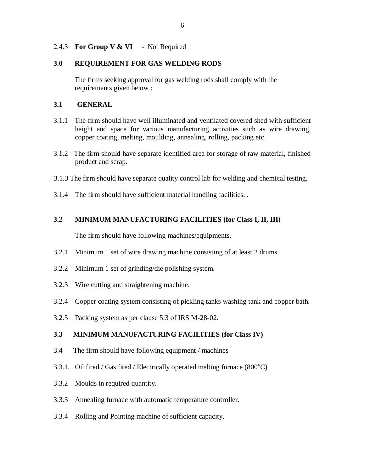#### 2.4.3 **For Group V & VI** - Not Required

#### **3.0 REQUIREMENT FOR GAS WELDING RODS**

The firms seeking approval for gas welding rods shall comply with the requirements given below :

#### **3.1 GENERAL**

- 3.1.1 The firm should have well illuminated and ventilated covered shed with sufficient height and space for various manufacturing activities such as wire drawing, copper coating, melting, moulding, annealing, rolling, packing etc.
- 3.1.2 The firm should have separate identified area for storage of raw material, finished product and scrap.
- 3.1.3 The firm should have separate quality control lab for welding and chemical testing.
- 3.1.4 The firm should have sufficient material handling facilities. .

# **3.2 MINIMUM MANUFACTURING FACILITIES (for Class I, II, III)**

The firm should have following machines/equipments.

- 3.2.1 Minimum 1 set of wire drawing machine consisting of at least 2 drums.
- 3.2.2 Minimum 1 set of grinding/die polishing system.
- 3.2.3 Wire cutting and straightening machine.
- 3.2.4 Copper coating system consisting of pickling tanks washing tank and copper bath.
- 3.2.5 Packing system as per clause 5.3 of IRS M-28-02.

# **3.3 MINIMUM MANUFACTURING FACILITIES (for Class IV)**

- 3.4 The firm should have following equipment / machines
- 3.3.1. Oil fired / Gas fired / Electrically operated melting furnace  $(800^{\circ}C)$
- 3.3.2 Moulds in required quantity.
- 3.3.3 Annealing furnace with automatic temperature controller.
- 3.3.4 Rolling and Pointing machine of sufficient capacity.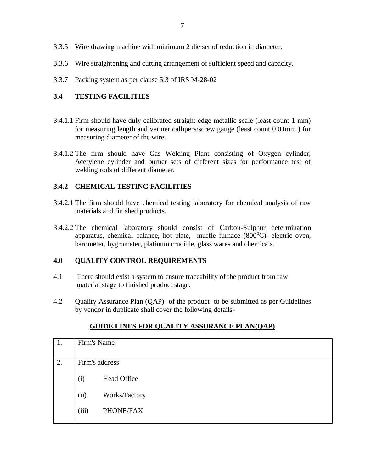- 3.3.5 Wire drawing machine with minimum 2 die set of reduction in diameter.
- 3.3.6 Wire straightening and cutting arrangement of sufficient speed and capacity.
- 3.3.7 Packing system as per clause 5.3 of IRS M-28-02

# **3.4 TESTING FACILITIES**

- 3.4.1.1 Firm should have duly calibrated straight edge metallic scale (least count 1 mm) for measuring length and vernier callipers/screw gauge (least count 0.01mm ) for measuring diameter of the wire.
- 3.4.1.2 The firm should have Gas Welding Plant consisting of Oxygen cylinder, Acetylene cylinder and burner sets of different sizes for performance test of welding rods of different diameter.

# **3.4.2 CHEMICAL TESTING FACILITIES**

- 3.4.2.1 The firm should have chemical testing laboratory for chemical analysis of raw materials and finished products.
- 3.4.2.2 The chemical laboratory should consist of Carbon-Sulphur determination apparatus, chemical balance, hot plate, muffle furnace  $(800^{\circ}C)$ , electric oven, barometer, hygrometer, platinum crucible, glass wares and chemicals.

# **4.0 QUALITY CONTROL REQUIREMENTS**

- 4.1 There should exist a system to ensure traceability of the product from raw material stage to finished product stage.
- 4.2 Quality Assurance Plan (QAP) of the product to be submitted as per Guidelines by vendor in duplicate shall cover the following details-

| 1. | Firm's Name    |                    |
|----|----------------|--------------------|
|    |                |                    |
| 2. | Firm's address |                    |
|    | (i)            | <b>Head Office</b> |
|    | (ii)           | Works/Factory      |
|    | (iii)          | PHONE/FAX          |
|    |                |                    |

# **GUIDE LINES FOR QUALITY ASSURANCE PLAN(QAP)**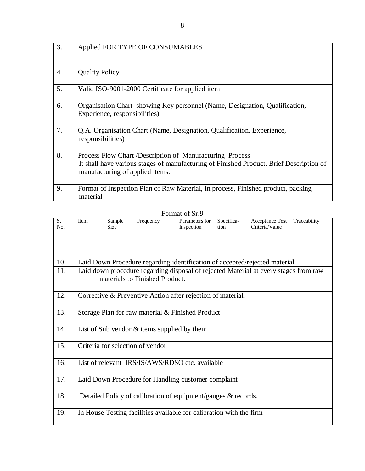| 3.             | Applied FOR TYPE OF CONSUMABLES :                                                                                                                                                      |
|----------------|----------------------------------------------------------------------------------------------------------------------------------------------------------------------------------------|
| $\overline{4}$ | <b>Quality Policy</b>                                                                                                                                                                  |
| 5.             | Valid ISO-9001-2000 Certificate for applied item                                                                                                                                       |
| 6.             | Organisation Chart showing Key personnel (Name, Designation, Qualification,<br>Experience, responsibilities)                                                                           |
| 7.             | Q.A. Organisation Chart (Name, Designation, Qualification, Experience,<br>responsibilities)                                                                                            |
| 8.             | Process Flow Chart /Description of Manufacturing Process<br>It shall have various stages of manufacturing of Finished Product. Brief Description of<br>manufacturing of applied items. |
| 9.             | Format of Inspection Plan of Raw Material, In process, Finished product, packing<br>material                                                                                           |

Format of Sr.9

| S.<br>No. | Item                                                                       | Sample<br><b>Size</b> | Frequency                                                           | Parameters for<br>Inspection | Specifica-<br>tion | Acceptance Test<br>Criteria/Value                                                    | Traceability |  |  |  |  |  |  |
|-----------|----------------------------------------------------------------------------|-----------------------|---------------------------------------------------------------------|------------------------------|--------------------|--------------------------------------------------------------------------------------|--------------|--|--|--|--|--|--|
|           |                                                                            |                       |                                                                     |                              |                    |                                                                                      |              |  |  |  |  |  |  |
|           |                                                                            |                       |                                                                     |                              |                    |                                                                                      |              |  |  |  |  |  |  |
|           |                                                                            |                       |                                                                     |                              |                    |                                                                                      |              |  |  |  |  |  |  |
| 10.       | Laid Down Procedure regarding identification of accepted/rejected material |                       |                                                                     |                              |                    |                                                                                      |              |  |  |  |  |  |  |
| 11.       |                                                                            |                       |                                                                     |                              |                    | Laid down procedure regarding disposal of rejected Material at every stages from raw |              |  |  |  |  |  |  |
|           |                                                                            |                       | materials to Finished Product.                                      |                              |                    |                                                                                      |              |  |  |  |  |  |  |
|           |                                                                            |                       |                                                                     |                              |                    |                                                                                      |              |  |  |  |  |  |  |
| 12.       |                                                                            |                       | Corrective & Preventive Action after rejection of material.         |                              |                    |                                                                                      |              |  |  |  |  |  |  |
|           |                                                                            |                       |                                                                     |                              |                    |                                                                                      |              |  |  |  |  |  |  |
| 13.       |                                                                            |                       | Storage Plan for raw material & Finished Product                    |                              |                    |                                                                                      |              |  |  |  |  |  |  |
|           |                                                                            |                       |                                                                     |                              |                    |                                                                                      |              |  |  |  |  |  |  |
| 14.       |                                                                            |                       | List of Sub vendor $&$ items supplied by them                       |                              |                    |                                                                                      |              |  |  |  |  |  |  |
|           |                                                                            |                       |                                                                     |                              |                    |                                                                                      |              |  |  |  |  |  |  |
| 15.       |                                                                            |                       | Criteria for selection of vendor                                    |                              |                    |                                                                                      |              |  |  |  |  |  |  |
|           |                                                                            |                       |                                                                     |                              |                    |                                                                                      |              |  |  |  |  |  |  |
| 16.       |                                                                            |                       | List of relevant IRS/IS/AWS/RDSO etc. available                     |                              |                    |                                                                                      |              |  |  |  |  |  |  |
|           |                                                                            |                       |                                                                     |                              |                    |                                                                                      |              |  |  |  |  |  |  |
| 17.       |                                                                            |                       | Laid Down Procedure for Handling customer complaint                 |                              |                    |                                                                                      |              |  |  |  |  |  |  |
|           |                                                                            |                       |                                                                     |                              |                    |                                                                                      |              |  |  |  |  |  |  |
| 18.       | Detailed Policy of calibration of equipment/gauges & records.              |                       |                                                                     |                              |                    |                                                                                      |              |  |  |  |  |  |  |
|           |                                                                            |                       |                                                                     |                              |                    |                                                                                      |              |  |  |  |  |  |  |
| 19.       |                                                                            |                       | In House Testing facilities available for calibration with the firm |                              |                    |                                                                                      |              |  |  |  |  |  |  |
|           |                                                                            |                       |                                                                     |                              |                    |                                                                                      |              |  |  |  |  |  |  |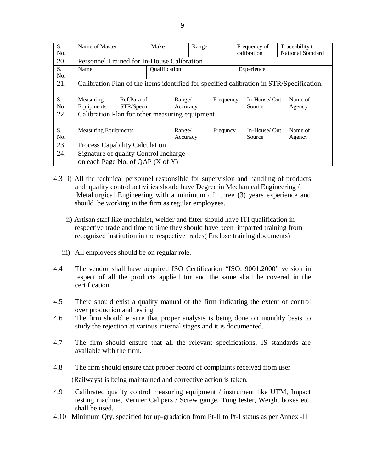| S.               | Name of Master                                                                           |             | Make          |          | Range |           |             | Frequency of  |                   | Traceability to |
|------------------|------------------------------------------------------------------------------------------|-------------|---------------|----------|-------|-----------|-------------|---------------|-------------------|-----------------|
| N <sub>0</sub> . |                                                                                          |             |               |          |       |           | calibration |               | National Standard |                 |
| 20.              | Personnel Trained for In-House Calibration                                               |             |               |          |       |           |             |               |                   |                 |
| S.               | Name                                                                                     |             | Qualification |          |       |           |             | Experience    |                   |                 |
| No.              |                                                                                          |             |               |          |       |           |             |               |                   |                 |
| 21.              | Calibration Plan of the items identified for specified calibration in STR/Specification. |             |               |          |       |           |             |               |                   |                 |
|                  |                                                                                          |             |               |          |       |           |             |               |                   |                 |
| S.               | Measuring                                                                                | Ref.Para of |               | Range/   |       | Frequency |             | In-House/ Out |                   | Name of         |
| No.              | Equipments                                                                               | STR/Specn.  |               | Accuracy |       |           |             | Source        |                   | Agency          |
| 22.              | Calibration Plan for other measuring equipment                                           |             |               |          |       |           |             |               |                   |                 |
|                  |                                                                                          |             |               |          |       |           |             |               |                   |                 |
| S.               | <b>Measuring Equipments</b>                                                              |             |               | Range/   |       | Frequncy  |             | In-House/ Out |                   | Name of         |
| No.              |                                                                                          |             |               | Accuracy |       |           |             | Source        |                   | Agency          |
| 23.              | <b>Process Capability Calculation</b>                                                    |             |               |          |       |           |             |               |                   |                 |
| 24.              | Signature of quality Control Incharge                                                    |             |               |          |       |           |             |               |                   |                 |
|                  | on each Page No. of QAP (X of Y)                                                         |             |               |          |       |           |             |               |                   |                 |

- 4.3 i) All the technical personnel responsible for supervision and handling of products and quality control activities should have Degree in Mechanical Engineering / Metallurgical Engineering with a minimum of three (3) years experience and should be working in the firm as regular employees.
	- ii) Artisan staff like machinist, welder and fitter should have ITI qualification in respective trade and time to time they should have been imparted training from recognized institution in the respective trades( Enclose training documents)
	- iii) All employees should be on regular role.
- 4.4 The vendor shall have acquired ISO Certification "ISO: 9001:2000" version in respect of all the products applied for and the same shall be covered in the certification.
- 4.5 There should exist a quality manual of the firm indicating the extent of control over production and testing.
- 4.6 The firm should ensure that proper analysis is being done on monthly basis to study the rejection at various internal stages and it is documented.
- 4.7 The firm should ensure that all the relevant specifications, IS standards are available with the firm.
- 4.8 The firm should ensure that proper record of complaints received from user (Railways) is being maintained and corrective action is taken.
- 4.9 Calibrated quality control measuring equipment / instrument like UTM, Impact testing machine, Vernier Calipers / Screw gauge, Tong tester, Weight boxes etc. shall be used.
- 4.10 Minimum Qty. specified for up-gradation from Pt-II to Pt-I status as per Annex -II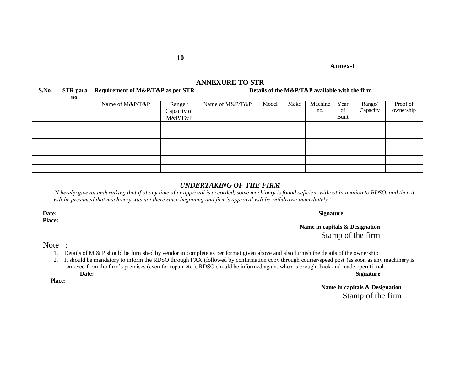**Annex-I**

#### **ANNEXURE TO STR**

| S.No. | <b>STR</b> para | Requirement of M&P/T&P as per STR |             | Details of the M&P/T&P available with the firm |       |      |         |       |          |           |
|-------|-----------------|-----------------------------------|-------------|------------------------------------------------|-------|------|---------|-------|----------|-----------|
|       | no.             |                                   |             |                                                |       |      |         |       |          |           |
|       |                 | Name of M&P/T&P                   | Range /     | Name of M&P/T&P                                | Model | Make | Machine | Year  | Range/   | Proof of  |
|       |                 |                                   | Capacity of |                                                |       |      | no.     | of    | Capacity | ownership |
|       |                 |                                   | M&P/T&P     |                                                |       |      |         | Built |          |           |
|       |                 |                                   |             |                                                |       |      |         |       |          |           |
|       |                 |                                   |             |                                                |       |      |         |       |          |           |
|       |                 |                                   |             |                                                |       |      |         |       |          |           |
|       |                 |                                   |             |                                                |       |      |         |       |          |           |
|       |                 |                                   |             |                                                |       |      |         |       |          |           |
|       |                 |                                   |             |                                                |       |      |         |       |          |           |

#### *UNDERTAKING OF THE FIRM*

*"I hereby give an undertaking that if at any time after approval is accorded, some machinery is found deficient without intimation to RDSO, and then it will be presumed that machinery was not there since beginning and firm's approval will be withdrawn immediately.''*

**Place:**

#### **Date: Signature**

**Name in capitals & Designation** Stamp of the firm

Note :

- 1. Details of M & P should be furnished by vendor in complete as per format given above and also furnish the details of the ownership.
- 2. It should be mandatory to inform the RDSO through FAX (followed by confirmation copy through courier/speed post )as soon as any machinery is removed from the firm"s premises (even for repair etc.). RDSO should be informed again, when is brought back and made operational. **Date: Signature**

 **Place:**

**Name in capitals & Designation** Stamp of the firm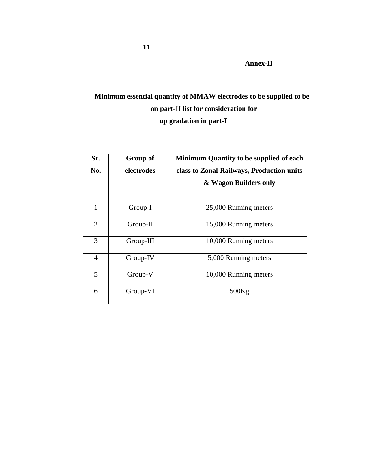**Annex-II**

# **Minimum essential quantity of MMAW electrodes to be supplied to be on part-II list for consideration for up gradation in part-I**

| Sr.            | Group of   | Minimum Quantity to be supplied of each   |
|----------------|------------|-------------------------------------------|
| No.            | electrodes | class to Zonal Railways, Production units |
|                |            | & Wagon Builders only                     |
|                |            |                                           |
| 1              | Group-I    | 25,000 Running meters                     |
| $\overline{2}$ | Group-II   | 15,000 Running meters                     |
| 3              | Group-III  | 10,000 Running meters                     |
| $\overline{4}$ | Group-IV   | 5,000 Running meters                      |
| 5              | Group-V    | 10,000 Running meters                     |
| 6              | Group-VI   | 500Kg                                     |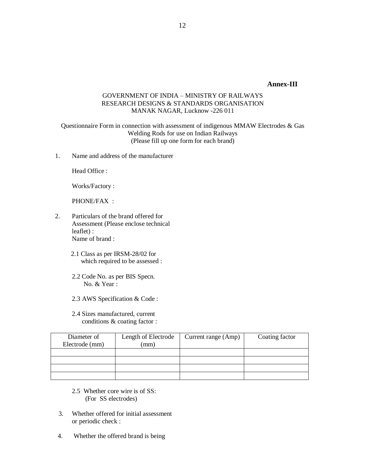#### **Annex-III**

#### GOVERNMENT OF INDIA – MINISTRY OF RAILWAYS RESEARCH DESIGNS & STANDARDS ORGANISATION MANAK NAGAR, Lucknow -226 011

Questionnaire Form in connection with assessment of indigenous MMAW Electrodes & Gas Welding Rods for use on Indian Railways (Please fill up one form for each brand)

1. Name and address of the manufacturer

Head Office :

Works/Factory :

PHONE/FAX :

- 2. Particulars of the brand offered for Assessment (Please enclose technical leaflet) : Name of brand :
	- 2.1 Class as per IRSM-28/02 for which required to be assessed :
	- 2.2 Code No. as per BIS Specn. No. & Year :
	- 2.3 AWS Specification & Code :
	- 2.4 Sizes manufactured, current conditions & coating factor :

| Diameter of<br>Electrode (mm) | Length of Electrode<br>mm) | Current range (Amp) | Coating factor |
|-------------------------------|----------------------------|---------------------|----------------|
|                               |                            |                     |                |
|                               |                            |                     |                |
|                               |                            |                     |                |
|                               |                            |                     |                |

- 2.5 Whether core wire is of SS: (For SS electrodes)
- 3. Whether offered for initial assessment or periodic check :
- 4. Whether the offered brand is being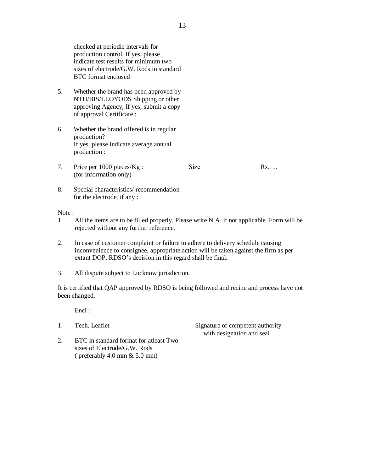checked at periodic intervals for production control. If yes, please indicate test results for minimum two sizes of electrode/G.W. Rods in standard BTC format enclosed

- 5. Whether the brand has been approved by NTH/BIS/LLOYODS Shipping or other approving Agency, If yes, submit a copy of approval Certificate :
- 6. Whether the brand offered is in regular production? If yes, please indicate average annual production :
- 7. Price per 1000 pieces/Kg : (for information only) Size Rs…..

8. Special characteristics/ recommendation for the electrode, if any :

Note :

- 1. All the items are to be filled properly. Please write N.A. if not applicable. Form will be rejected without any further reference.
- 2. In case of customer complaint or failure to adhere to delivery schedule causing inconvenience to consignee, appropriate action will be taken against the firm as per extant DOP, RDSO"s decision in this regard shall be final.
- 3. All dispute subject to Lucknow jurisdiction.

It is certified that QAP approved by RDSO is being followed and recipe and process have not been changed.

Encl:

1. Tech. Leaflet Signature of competent authority with designation and seal

2. BTC in standard format for atleast Two sizes of Electrode/G.W. Rods ( preferably 4.0 mm & 5.0 mm)